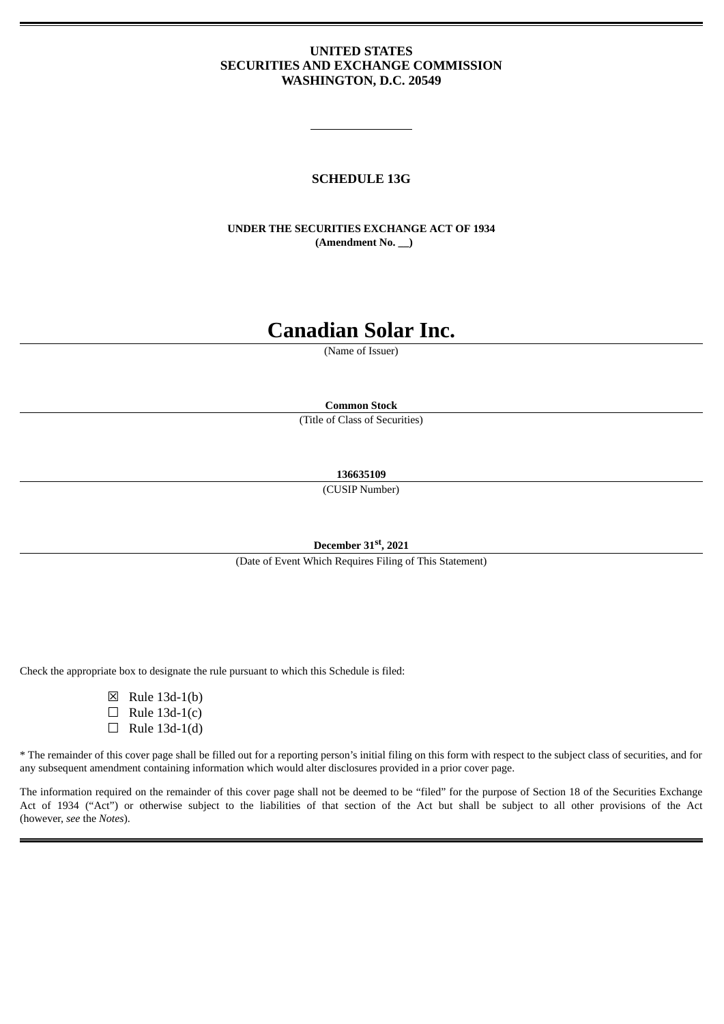## **UNITED STATES SECURITIES AND EXCHANGE COMMISSION WASHINGTON, D.C. 20549**

# **SCHEDULE 13G**

**UNDER THE SECURITIES EXCHANGE ACT OF 1934 (Amendment No. \_\_)**

# **Canadian Solar Inc.**

(Name of Issuer)

**Common Stock**

(Title of Class of Securities)

**136635109**

(CUSIP Number)

**December 31 st , 2021**

(Date of Event Which Requires Filing of This Statement)

Check the appropriate box to designate the rule pursuant to which this Schedule is filed:

- ☒ Rule 13d-1(b)
- $\Box$  Rule 13d-1(c)
- $\Box$  Rule 13d-1(d)

\* The remainder of this cover page shall be filled out for a reporting person's initial filing on this form with respect to the subject class of securities, and for any subsequent amendment containing information which would alter disclosures provided in a prior cover page.

The information required on the remainder of this cover page shall not be deemed to be "filed" for the purpose of Section 18 of the Securities Exchange Act of 1934 ("Act") or otherwise subject to the liabilities of that section of the Act but shall be subject to all other provisions of the Act (however, *see* the *Notes*).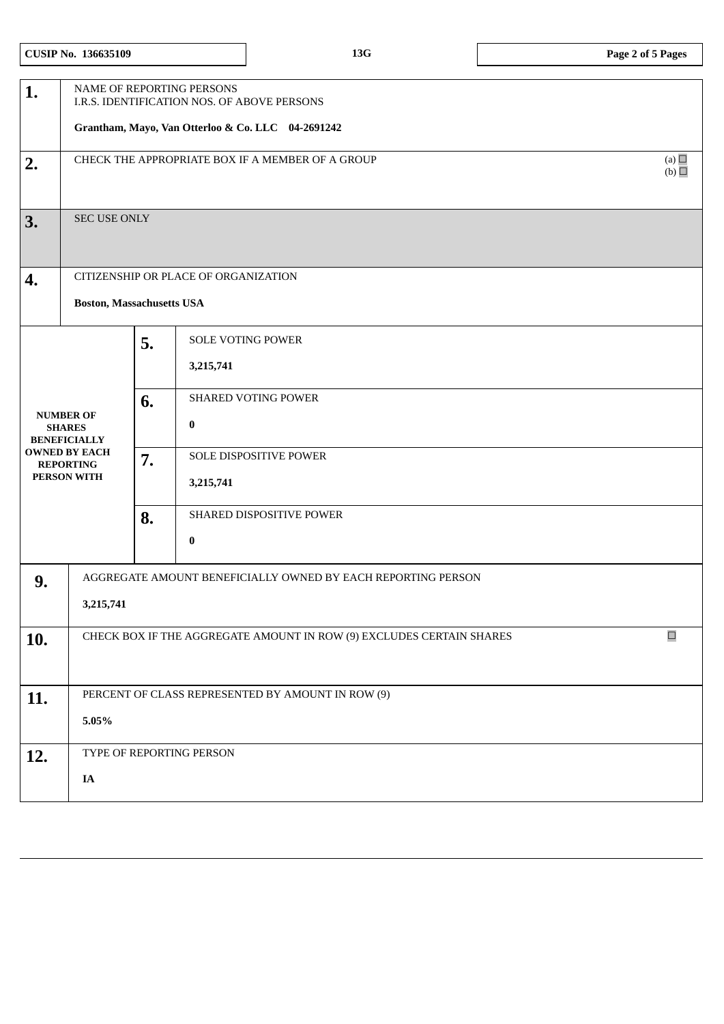| 1.                                                                                                                  | NAME OF REPORTING PERSONS<br>I.R.S. IDENTIFICATION NOS. OF ABOVE PERSONS |    |                            |        |  |
|---------------------------------------------------------------------------------------------------------------------|--------------------------------------------------------------------------|----|----------------------------|--------|--|
|                                                                                                                     | Grantham, Mayo, Van Otterloo & Co. LLC 04-2691242                        |    |                            |        |  |
| 2.                                                                                                                  | (a) $\Box$<br>CHECK THE APPROPRIATE BOX IF A MEMBER OF A GROUP<br>(b)    |    |                            |        |  |
| 3.                                                                                                                  | SEC USE ONLY                                                             |    |                            |        |  |
| 4.                                                                                                                  | CITIZENSHIP OR PLACE OF ORGANIZATION                                     |    |                            |        |  |
|                                                                                                                     | <b>Boston, Massachusetts USA</b>                                         |    |                            |        |  |
|                                                                                                                     |                                                                          | 5. | <b>SOLE VOTING POWER</b>   |        |  |
| <b>NUMBER OF</b><br><b>SHARES</b><br><b>BENEFICIALLY</b><br><b>OWNED BY EACH</b><br><b>REPORTING</b><br>PERSON WITH |                                                                          |    | 3,215,741                  |        |  |
|                                                                                                                     |                                                                          | 6. | <b>SHARED VOTING POWER</b> |        |  |
|                                                                                                                     |                                                                          |    | $\pmb{0}$                  |        |  |
|                                                                                                                     |                                                                          | 7. | SOLE DISPOSITIVE POWER     |        |  |
|                                                                                                                     |                                                                          |    | 3,215,741                  |        |  |
|                                                                                                                     |                                                                          | 8. | SHARED DISPOSITIVE POWER   |        |  |
|                                                                                                                     |                                                                          |    | $\bf{0}$                   |        |  |
| 9.                                                                                                                  | AGGREGATE AMOUNT BENEFICIALLY OWNED BY EACH REPORTING PERSON             |    |                            |        |  |
|                                                                                                                     | 3,215,741                                                                |    |                            |        |  |
| 10.                                                                                                                 | CHECK BOX IF THE AGGREGATE AMOUNT IN ROW (9) EXCLUDES CERTAIN SHARES     |    |                            | $\Box$ |  |
|                                                                                                                     |                                                                          |    |                            |        |  |
| 11.                                                                                                                 | PERCENT OF CLASS REPRESENTED BY AMOUNT IN ROW (9)                        |    |                            |        |  |
|                                                                                                                     | 5.05%                                                                    |    |                            |        |  |
| 12.                                                                                                                 | TYPE OF REPORTING PERSON                                                 |    |                            |        |  |
|                                                                                                                     | IA                                                                       |    |                            |        |  |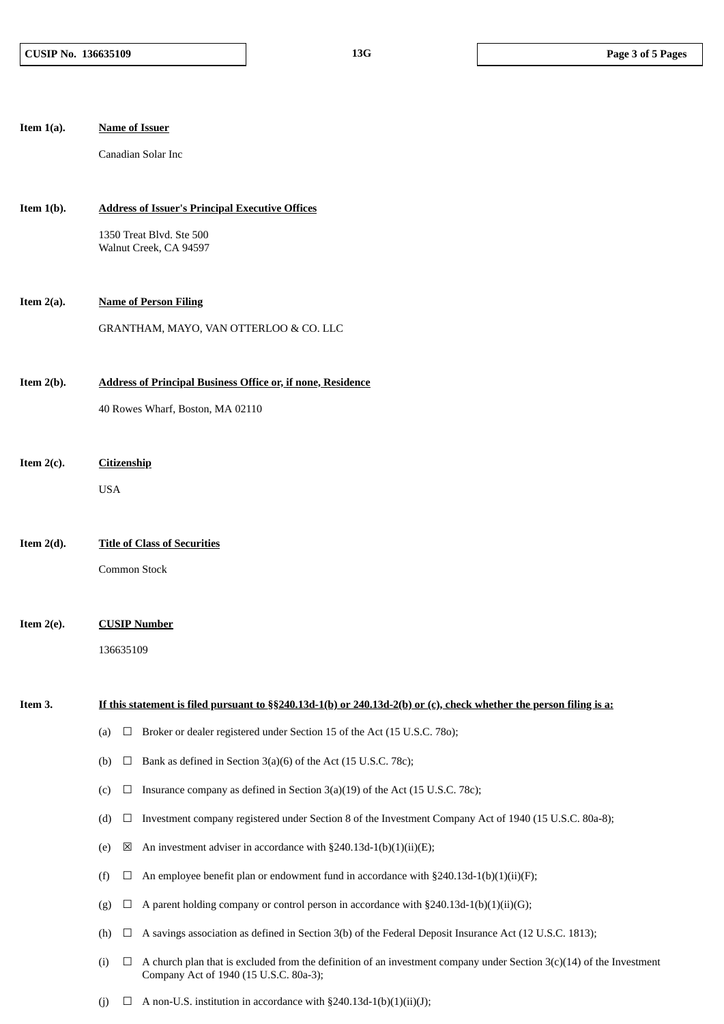| Item $1(a)$ . |                              | <b>Name of Issuer</b>                                                                                                                                            |  |  |  |  |
|---------------|------------------------------|------------------------------------------------------------------------------------------------------------------------------------------------------------------|--|--|--|--|
|               |                              | Canadian Solar Inc                                                                                                                                               |  |  |  |  |
|               |                              |                                                                                                                                                                  |  |  |  |  |
| Item $1(b)$ . |                              | <b>Address of Issuer's Principal Executive Offices</b>                                                                                                           |  |  |  |  |
|               |                              | 1350 Treat Blvd. Ste 500<br>Walnut Creek, CA 94597                                                                                                               |  |  |  |  |
|               |                              |                                                                                                                                                                  |  |  |  |  |
| Item $2(a)$ . | <b>Name of Person Filing</b> |                                                                                                                                                                  |  |  |  |  |
|               |                              | GRANTHAM, MAYO, VAN OTTERLOO & CO. LLC                                                                                                                           |  |  |  |  |
| Item $2(b)$ . |                              | <b>Address of Principal Business Office or, if none, Residence</b>                                                                                               |  |  |  |  |
|               |                              | 40 Rowes Wharf, Boston, MA 02110                                                                                                                                 |  |  |  |  |
|               |                              |                                                                                                                                                                  |  |  |  |  |
| Item $2(c)$ . | <b>Citizenship</b>           |                                                                                                                                                                  |  |  |  |  |
|               | <b>USA</b>                   |                                                                                                                                                                  |  |  |  |  |
|               |                              |                                                                                                                                                                  |  |  |  |  |
| Item $2(d)$ . |                              | <b>Title of Class of Securities</b>                                                                                                                              |  |  |  |  |
|               | Common Stock                 |                                                                                                                                                                  |  |  |  |  |
| Item $2(e)$ . |                              |                                                                                                                                                                  |  |  |  |  |
|               |                              | <b>CUSIP Number</b><br>136635109                                                                                                                                 |  |  |  |  |
|               |                              |                                                                                                                                                                  |  |  |  |  |
| Item 3.       |                              | If this statement is filed pursuant to §§240.13d-1(b) or 240.13d-2(b) or (c), check whether the person filing is a:                                              |  |  |  |  |
|               | (a)<br>$\Box$                | Broker or dealer registered under Section 15 of the Act (15 U.S.C. 780);                                                                                         |  |  |  |  |
|               | (b)<br>$\Box$                | Bank as defined in Section 3(a)(6) of the Act (15 U.S.C. 78c);                                                                                                   |  |  |  |  |
|               | (c)<br>$\Box$                | Insurance company as defined in Section 3(a)(19) of the Act (15 U.S.C. 78c);                                                                                     |  |  |  |  |
|               | (d)<br>$\Box$                | Investment company registered under Section 8 of the Investment Company Act of 1940 (15 U.S.C. 80a-8);                                                           |  |  |  |  |
|               | ⊠<br>(e)                     | An investment adviser in accordance with §240.13d-1(b)(1)(ii)(E);                                                                                                |  |  |  |  |
|               | (f)<br>Ц                     | An employee benefit plan or endowment fund in accordance with $\S 240.13d-1(b)(1)(ii)(F)$ ;                                                                      |  |  |  |  |
|               | (g)<br>Ц                     | A parent holding company or control person in accordance with $\S 240.13d-1(b)(1)(ii)(G);$                                                                       |  |  |  |  |
|               | (h)<br>$\Box$                | A savings association as defined in Section 3(b) of the Federal Deposit Insurance Act (12 U.S.C. 1813);                                                          |  |  |  |  |
|               | (i)<br>$\Box$                | A church plan that is excluded from the definition of an investment company under Section $3(c)(14)$ of the Investment<br>Company Act of 1940 (15 U.S.C. 80a-3); |  |  |  |  |

(j)  $\Box$  A non-U.S. institution in accordance with §240.13d-1(b)(1)(ii)(J);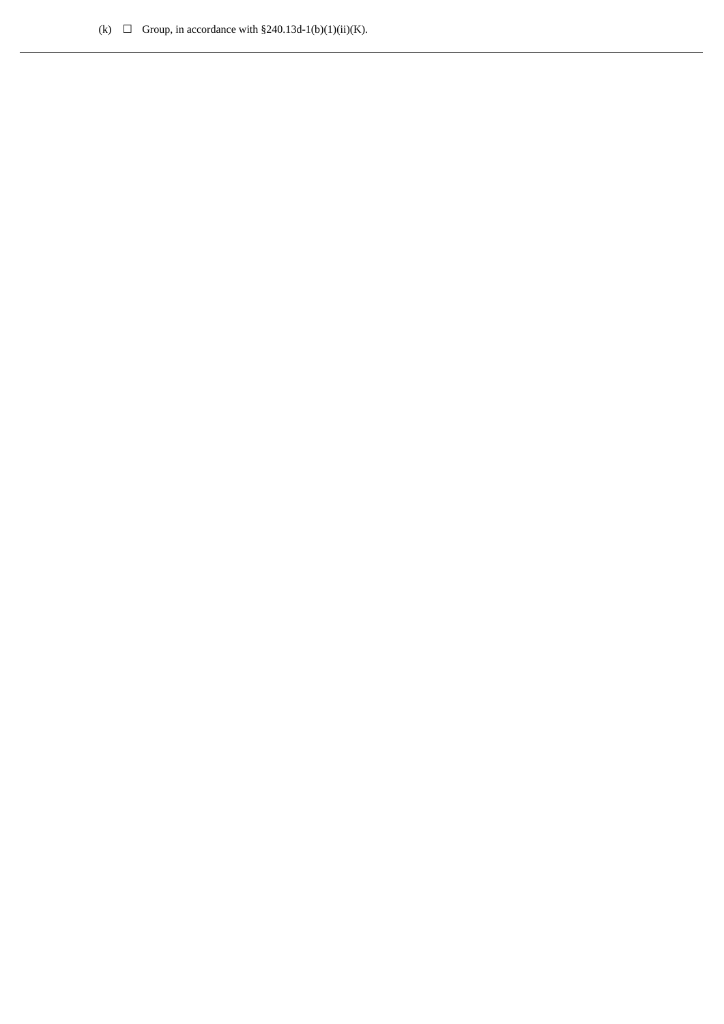(k)  $\Box$  Group, in accordance with §240.13d-1(b)(1)(ii)(K).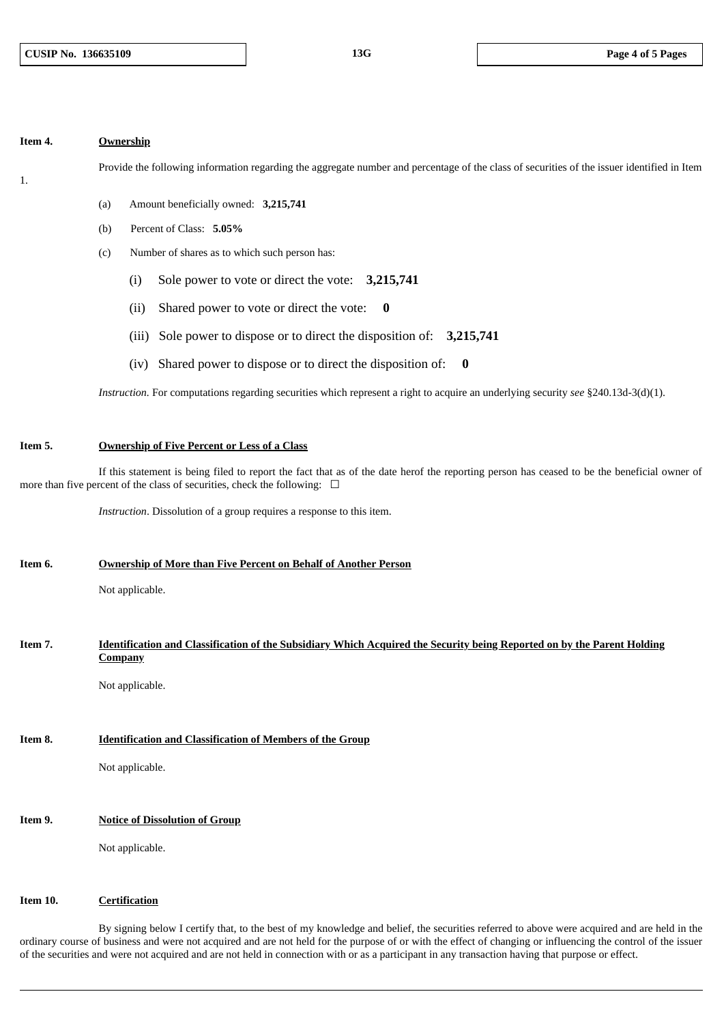#### **Item 4. Ownership**

1.

Provide the following information regarding the aggregate number and percentage of the class of securities of the issuer identified in Item

- (a) Amount beneficially owned: **3,215,741**
- (b) Percent of Class: **5.05%**
- (c) Number of shares as to which such person has:
	- (i) Sole power to vote or direct the vote: **3,215,741**
	- (ii) Shared power to vote or direct the vote: **0**
	- (iii) Sole power to dispose or to direct the disposition of: **3,215,741**
	- (iv) Shared power to dispose or to direct the disposition of: **0**

*Instruction.* For computations regarding securities which represent a right to acquire an underlying security *see* §240.13d-3(d)(1).

#### **Item 5. Ownership of Five Percent or Less of a Class**

If this statement is being filed to report the fact that as of the date herof the reporting person has ceased to be the beneficial owner of more than five percent of the class of securities, check the following:  $\Box$ 

*Instruction*. Dissolution of a group requires a response to this item.

#### **Item 6. Ownership of More than Five Percent on Behalf of Another Person**

Not applicable.

#### Item 7. **Identification and Classification of the Subsidiary Which Acquired the Security being Reported on by the Parent Holding Company**

Not applicable.

### **Item 8. Identification and Classification of Members of the Group**

Not applicable.

## **Item 9. Notice of Dissolution of Group**

Not applicable.

#### **Item 10. Certification**

By signing below I certify that, to the best of my knowledge and belief, the securities referred to above were acquired and are held in the ordinary course of business and were not acquired and are not held for the purpose of or with the effect of changing or influencing the control of the issuer of the securities and were not acquired and are not held in connection with or as a participant in any transaction having that purpose or effect.